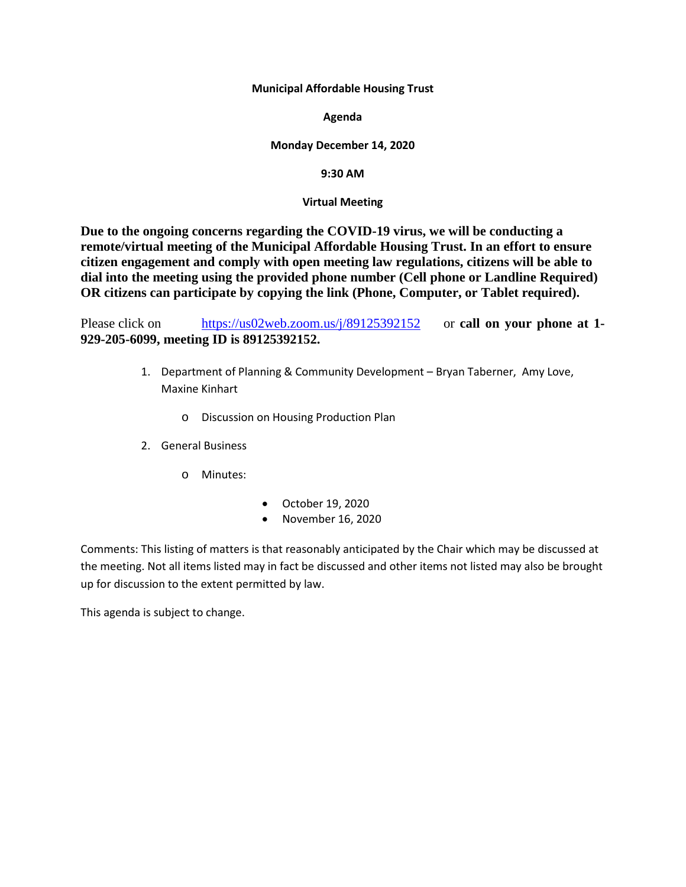**Municipal Affordable Housing Trust**

**Agenda**

#### **Monday December 14, 2020**

**9:30 AM**

#### **Virtual Meeting**

**Due to the ongoing concerns regarding the COVID-19 virus, we will be conducting a remote/virtual meeting of the Municipal Affordable Housing Trust. In an effort to ensure citizen engagement and comply with open meeting law regulations, citizens will be able to dial into the meeting using the provided phone number (Cell phone or Landline Required) OR citizens can participate by copying the link (Phone, Computer, or Tablet required).** 

Please click on <https://us02web.zoom.us/j/89125392152> or **call on your phone at 1- 929-205-6099, meeting ID is 89125392152.**

- 1. Department of Planning & Community Development Bryan Taberner, Amy Love, Maxine Kinhart
	- o Discussion on Housing Production Plan
- 2. General Business
	- o Minutes:
- October 19, 2020
- November 16, 2020

Comments: This listing of matters is that reasonably anticipated by the Chair which may be discussed at the meeting. Not all items listed may in fact be discussed and other items not listed may also be brought up for discussion to the extent permitted by law.

This agenda is subject to change.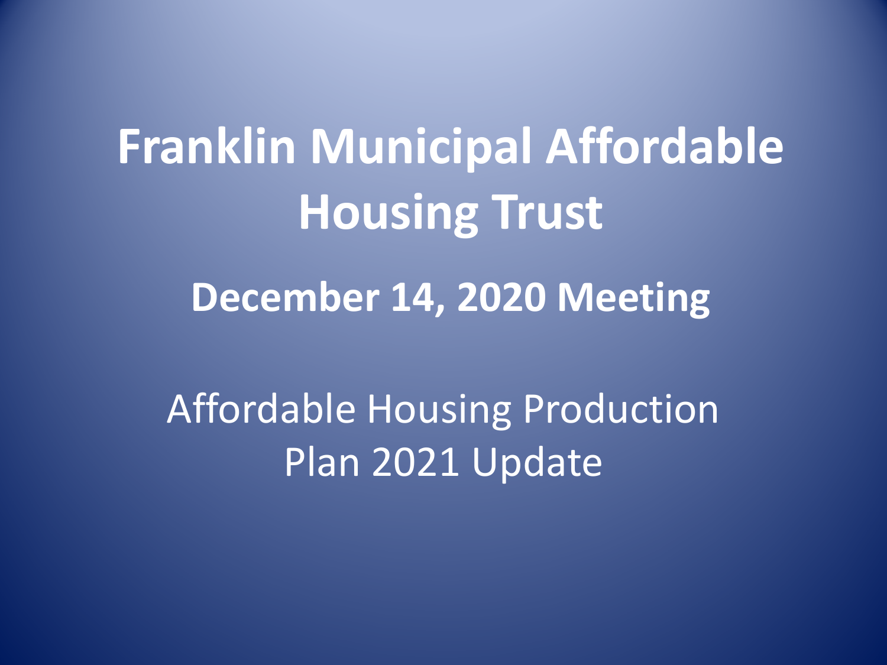# **Franklin Municipal Affordable Housing Trust**

### **December 14, 2020 Meeting**

Affordable Housing Production Plan 2021 Update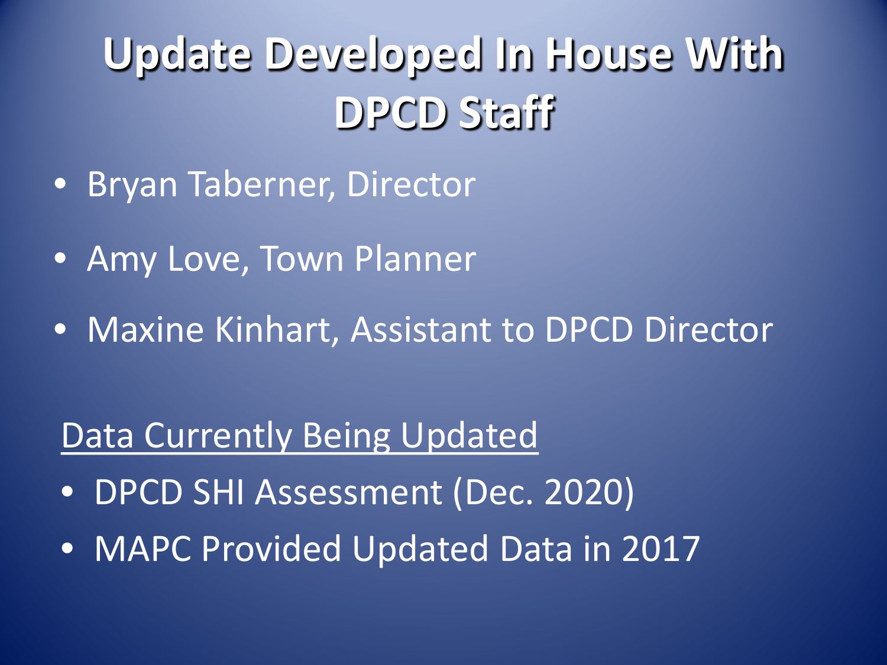## **Update Developed In House With DPCD Staff**

- Bryan Taberner, Director
- Amy Love, Town Planner
- Maxine Kinhart, Assistant to DPCD Director

### Data Currently Being Updated

- DPCD SHI Assessment (Dec. 2020)
- MAPC Provided Updated Data in 2017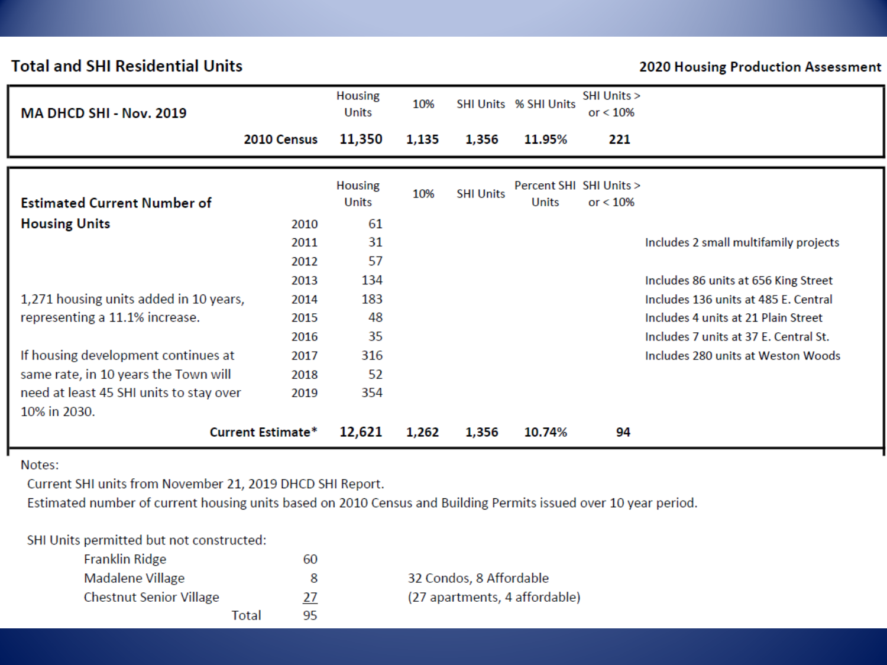#### **Total and SHI Residential Units**

#### 2020 Housing Production Assessment

| MA DHCD SHI - Nov. 2019                                                                                                                |                              | <b>Housing</b><br><b>Units</b> | 10%   |                  | <b>SHI Units % SHI Units</b>     | SHI Units ><br>or $< 10%$ |                                                                                                                                                              |
|----------------------------------------------------------------------------------------------------------------------------------------|------------------------------|--------------------------------|-------|------------------|----------------------------------|---------------------------|--------------------------------------------------------------------------------------------------------------------------------------------------------------|
|                                                                                                                                        | 2010 Census                  | 11,350                         | 1,135 | 1,356            | 11.95%                           | 221                       |                                                                                                                                                              |
| <b>Estimated Current Number of</b>                                                                                                     |                              | <b>Housing</b><br>Units        | 10%   | <b>SHI Units</b> | Percent SHI SHI Units ><br>Units | or $< 10%$                |                                                                                                                                                              |
| <b>Housing Units</b>                                                                                                                   | 2010<br>2011<br>2012         | 61<br>31<br>57                 |       |                  |                                  |                           | Includes 2 small multifamily projects                                                                                                                        |
| 1,271 housing units added in 10 years,<br>representing a 11.1% increase.                                                               | 2013<br>2014<br>2015<br>2016 | 134<br>183<br>48<br>35         |       |                  |                                  |                           | Includes 86 units at 656 King Street<br>Includes 136 units at 485 E. Central<br>Includes 4 units at 21 Plain Street<br>Includes 7 units at 37 E. Central St. |
| If housing development continues at<br>same rate, in 10 years the Town will<br>need at least 45 SHI units to stay over<br>10% in 2030. | 2017<br>2018<br>2019         | 316<br>52<br>354               |       |                  |                                  |                           | Includes 280 units at Weston Woods                                                                                                                           |
|                                                                                                                                        | <b>Current Estimate*</b>     | 12,621                         | 1,262 | 1,356            | 10.74%                           | 94                        |                                                                                                                                                              |

Notes:

г

Current SHI units from November 21, 2019 DHCD SHI Report.

Estimated number of current housing units based on 2010 Census and Building Permits issued over 10 year period.

#### SHI Units permitted but not constructed:

| Franklin Ridge                 | 60 |                               |
|--------------------------------|----|-------------------------------|
| Madalene Village               | 8  | 32 Condos, 8 Affordable       |
| <b>Chestnut Senior Village</b> | 27 | (27 apartments, 4 affordable) |
| Total                          | 95 |                               |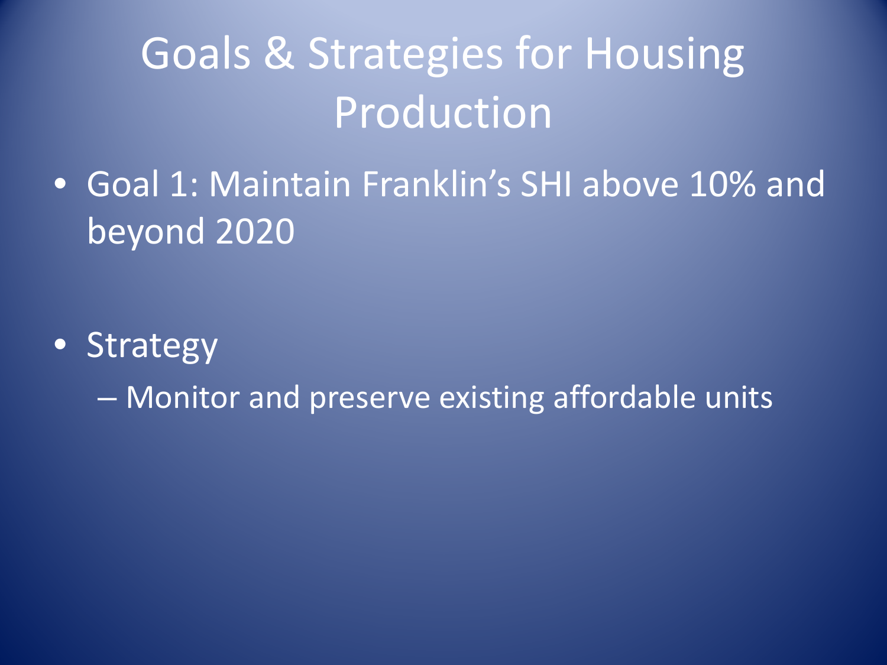## Goals & Strategies for Housing **Production**

• Goal 1: Maintain Franklin's SHI above 10% and beyond 2020

- Strategy
	- Monitor and preserve existing affordable units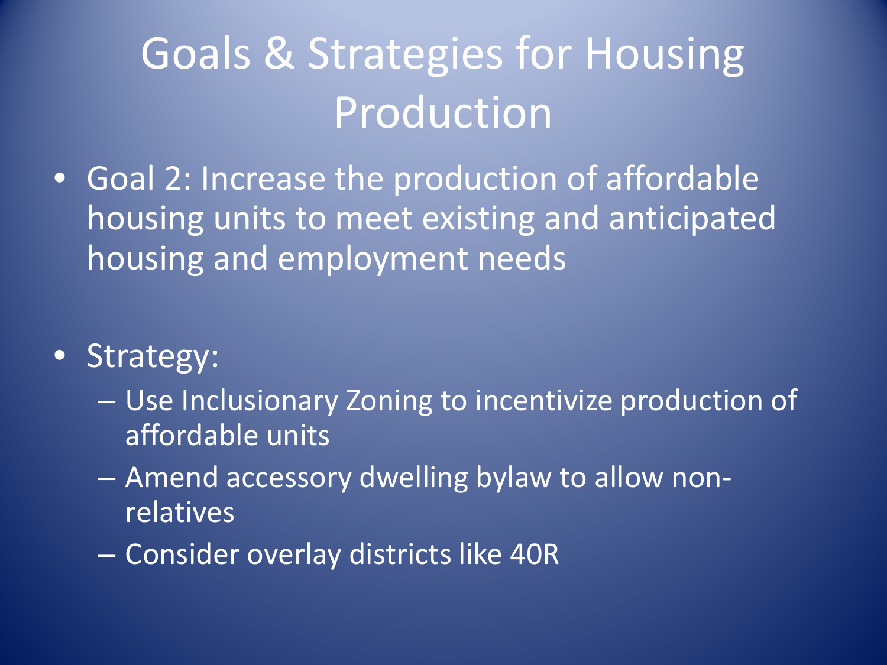## Goals & Strategies for Housing Production

- Goal 2: Increase the production of affordable housing units to meet existing and anticipated housing and employment needs
- Strategy:
	- Use Inclusionary Zoning to incentivize production of affordable units
	- Amend accessory dwelling bylaw to allow nonrelatives
	- Consider overlay districts like 40R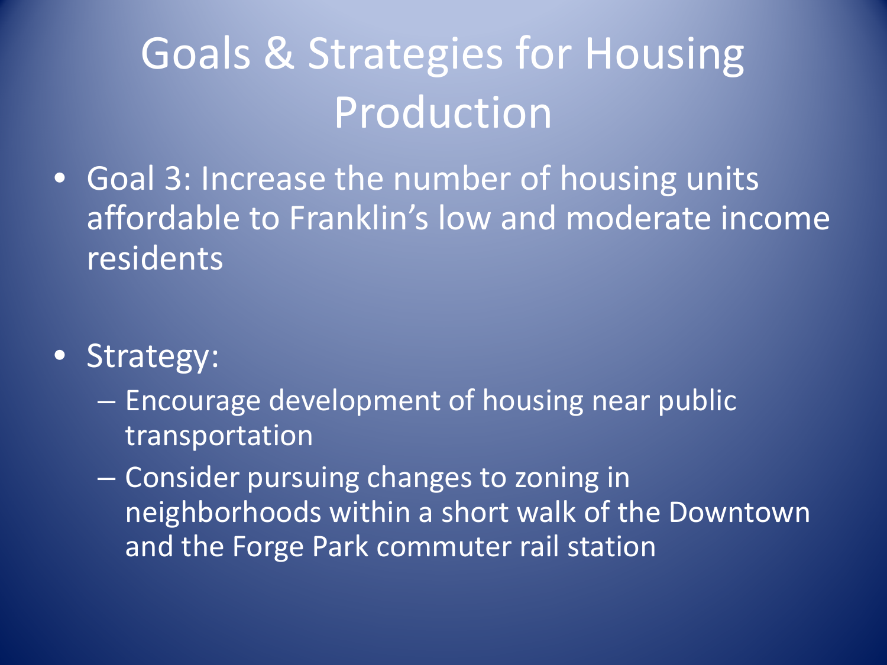## Goals & Strategies for Housing Production

- Goal 3: Increase the number of housing units affordable to Franklin's low and moderate income residents
- Strategy:
	- Encourage development of housing near public transportation
	- Consider pursuing changes to zoning in neighborhoods within a short walk of the Downtown and the Forge Park commuter rail station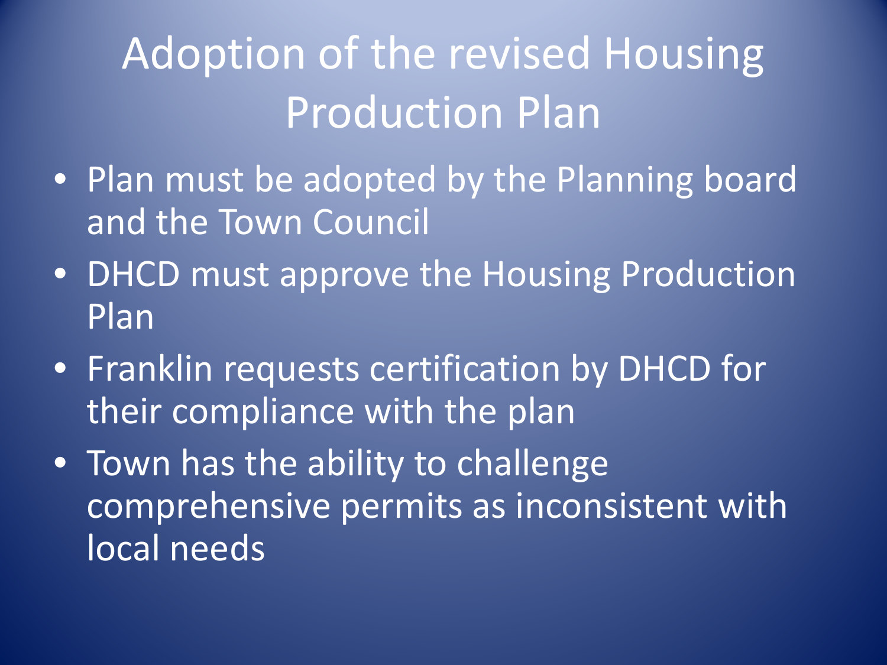## Adoption of the revised Housing Production Plan

- Plan must be adopted by the Planning board and the Town Council
- DHCD must approve the Housing Production Plan
- Franklin requests certification by DHCD for their compliance with the plan
- Town has the ability to challenge comprehensive permits as inconsistent with local needs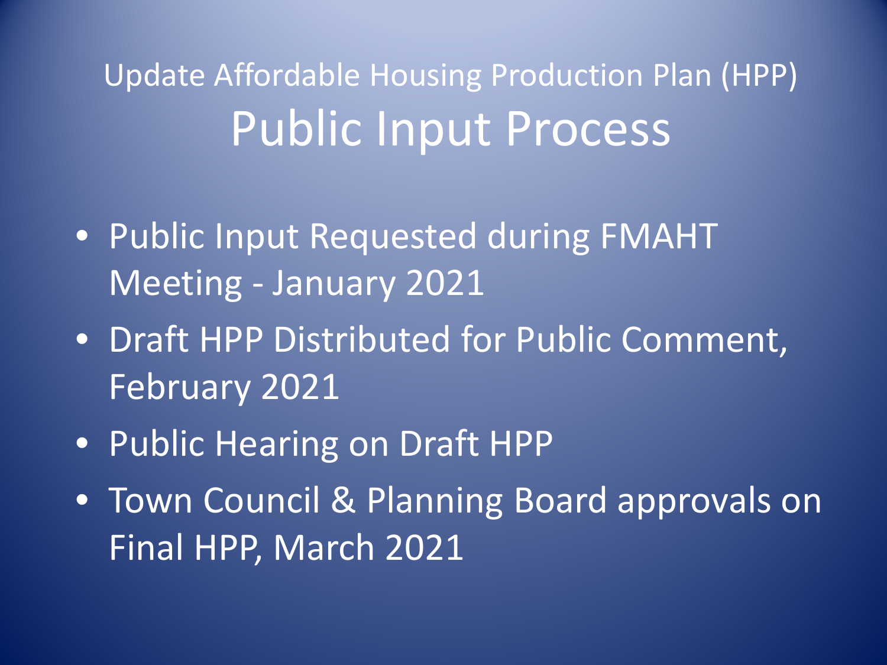Update Affordable Housing Production Plan (HPP) Public Input Process

- Public Input Requested during FMAHT Meeting - January 2021
- Draft HPP Distributed for Public Comment, February 2021
- Public Hearing on Draft HPP
- Town Council & Planning Board approvals on Final HPP, March 2021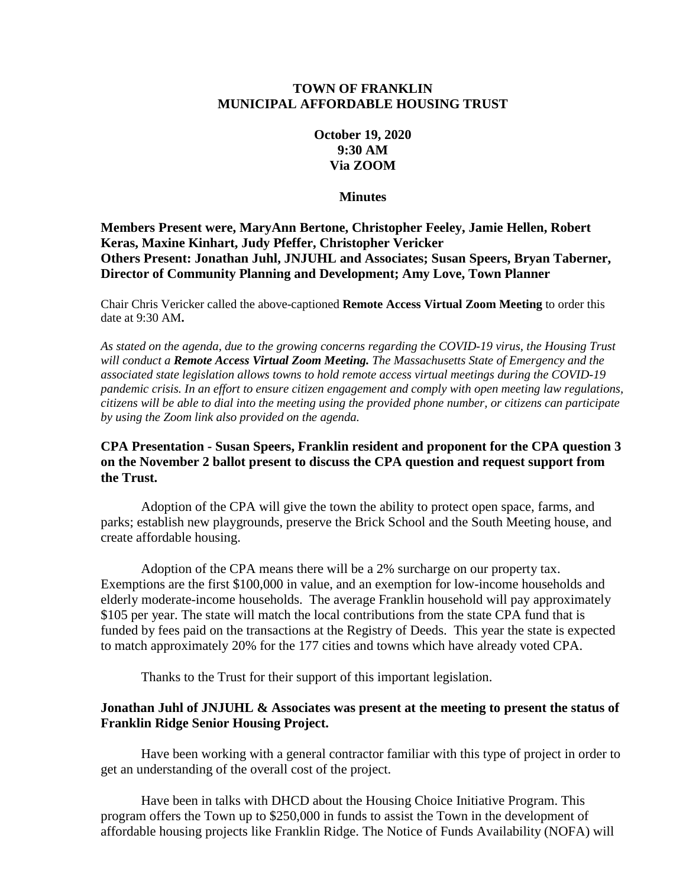#### **TOWN OF FRANKLIN MUNICIPAL AFFORDABLE HOUSING TRUST**

#### **October 19, 2020 9:30 AM Via ZOOM**

**Minutes**

**Members Present were, MaryAnn Bertone, Christopher Feeley, Jamie Hellen, Robert Keras, Maxine Kinhart, Judy Pfeffer, Christopher Vericker Others Present: Jonathan Juhl, JNJUHL and Associates; Susan Speers, Bryan Taberner, Director of Community Planning and Development; Amy Love, Town Planner**

Chair Chris Vericker called the above-captioned **Remote Access Virtual Zoom Meeting** to order this date at 9:30 AM**.**

*As stated on the agenda, due to the growing concerns regarding the COVID-19 virus, the Housing Trust will conduct a Remote Access Virtual Zoom Meeting. The Massachusetts State of Emergency and the associated state legislation allows towns to hold remote access virtual meetings during the COVID-19 pandemic crisis. In an effort to ensure citizen engagement and comply with open meeting law regulations, citizens will be able to dial into the meeting using the provided phone number, or citizens can participate by using the Zoom link also provided on the agenda.* 

#### **CPA Presentation - Susan Speers, Franklin resident and proponent for the CPA question 3 on the November 2 ballot present to discuss the CPA question and request support from the Trust.**

Adoption of the CPA will give the town the ability to protect open space, farms, and parks; establish new playgrounds, preserve the Brick School and the South Meeting house, and create affordable housing.

Adoption of the CPA means there will be a 2% surcharge on our property tax. Exemptions are the first \$100,000 in value, and an exemption for low-income households and elderly moderate-income households. The average Franklin household will pay approximately \$105 per year. The state will match the local contributions from the state CPA fund that is funded by fees paid on the transactions at the Registry of Deeds. This year the state is expected to match approximately 20% for the 177 cities and towns which have already voted CPA.

Thanks to the Trust for their support of this important legislation.

#### **Jonathan Juhl of JNJUHL & Associates was present at the meeting to present the status of Franklin Ridge Senior Housing Project.**

Have been working with a general contractor familiar with this type of project in order to get an understanding of the overall cost of the project.

Have been in talks with DHCD about the Housing Choice Initiative Program. This program offers the Town up to \$250,000 in funds to assist the Town in the development of affordable housing projects like Franklin Ridge. The Notice of Funds Availability (NOFA) will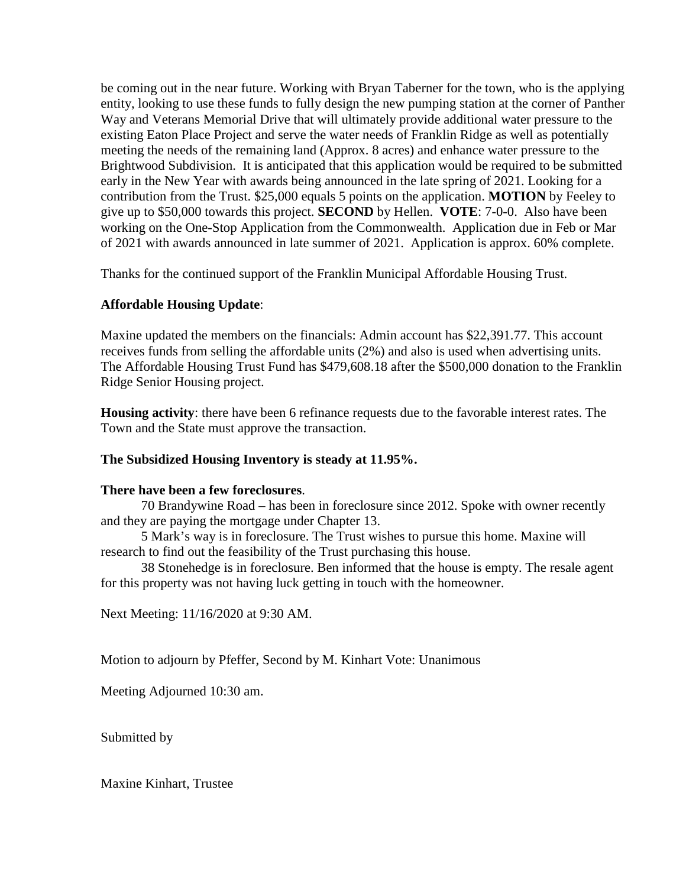be coming out in the near future. Working with Bryan Taberner for the town, who is the applying entity, looking to use these funds to fully design the new pumping station at the corner of Panther Way and Veterans Memorial Drive that will ultimately provide additional water pressure to the existing Eaton Place Project and serve the water needs of Franklin Ridge as well as potentially meeting the needs of the remaining land (Approx. 8 acres) and enhance water pressure to the Brightwood Subdivision. It is anticipated that this application would be required to be submitted early in the New Year with awards being announced in the late spring of 2021. Looking for a contribution from the Trust. \$25,000 equals 5 points on the application. **MOTION** by Feeley to give up to \$50,000 towards this project. **SECOND** by Hellen. **VOTE**: 7-0-0. Also have been working on the One-Stop Application from the Commonwealth. Application due in Feb or Mar of 2021 with awards announced in late summer of 2021. Application is approx. 60% complete.

Thanks for the continued support of the Franklin Municipal Affordable Housing Trust.

#### **Affordable Housing Update**:

Maxine updated the members on the financials: Admin account has \$22,391.77. This account receives funds from selling the affordable units (2%) and also is used when advertising units. The Affordable Housing Trust Fund has \$479,608.18 after the \$500,000 donation to the Franklin Ridge Senior Housing project.

**Housing activity**: there have been 6 refinance requests due to the favorable interest rates. The Town and the State must approve the transaction.

#### **The Subsidized Housing Inventory is steady at 11.95%.**

#### **There have been a few foreclosures**.

70 Brandywine Road – has been in foreclosure since 2012. Spoke with owner recently and they are paying the mortgage under Chapter 13.

5 Mark's way is in foreclosure. The Trust wishes to pursue this home. Maxine will research to find out the feasibility of the Trust purchasing this house.

38 Stonehedge is in foreclosure. Ben informed that the house is empty. The resale agent for this property was not having luck getting in touch with the homeowner.

Next Meeting: 11/16/2020 at 9:30 AM.

Motion to adjourn by Pfeffer, Second by M. Kinhart Vote: Unanimous

Meeting Adjourned 10:30 am.

Submitted by

Maxine Kinhart, Trustee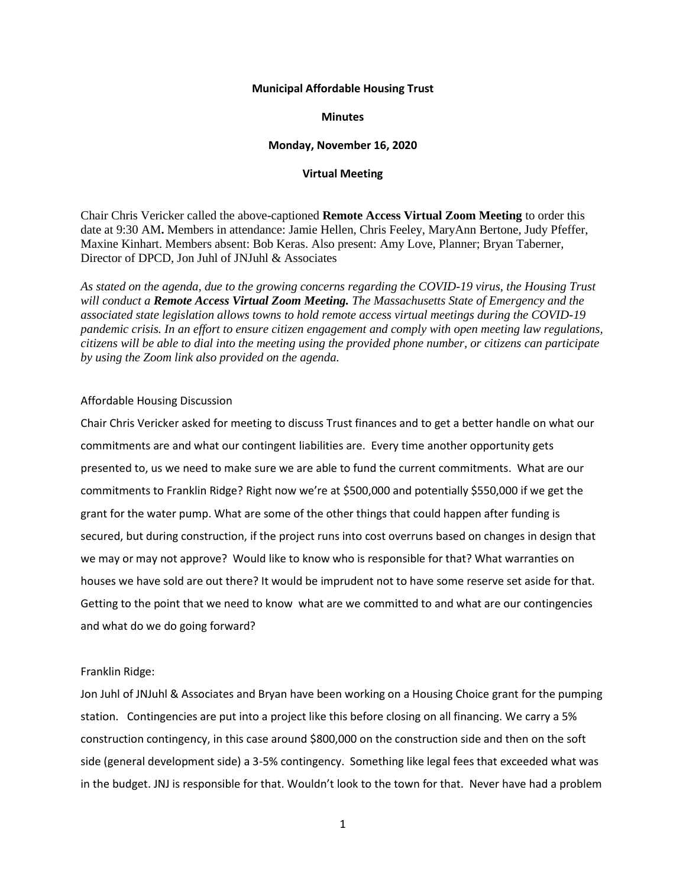#### **Municipal Affordable Housing Trust**

#### **Minutes**

#### **Monday, November 16, 2020**

#### **Virtual Meeting**

Chair Chris Vericker called the above-captioned **Remote Access Virtual Zoom Meeting** to order this date at 9:30 AM**.** Members in attendance: Jamie Hellen, Chris Feeley, MaryAnn Bertone, Judy Pfeffer, Maxine Kinhart. Members absent: Bob Keras. Also present: Amy Love, Planner; Bryan Taberner, Director of DPCD, Jon Juhl of JNJuhl & Associates

*As stated on the agenda, due to the growing concerns regarding the COVID-19 virus, the Housing Trust will conduct a Remote Access Virtual Zoom Meeting. The Massachusetts State of Emergency and the associated state legislation allows towns to hold remote access virtual meetings during the COVID-19 pandemic crisis. In an effort to ensure citizen engagement and comply with open meeting law regulations, citizens will be able to dial into the meeting using the provided phone number, or citizens can participate by using the Zoom link also provided on the agenda.* 

#### Affordable Housing Discussion

Chair Chris Vericker asked for meeting to discuss Trust finances and to get a better handle on what our commitments are and what our contingent liabilities are. Every time another opportunity gets presented to, us we need to make sure we are able to fund the current commitments. What are our commitments to Franklin Ridge? Right now we're at \$500,000 and potentially \$550,000 if we get the grant for the water pump. What are some of the other things that could happen after funding is secured, but during construction, if the project runs into cost overruns based on changes in design that we may or may not approve? Would like to know who is responsible for that? What warranties on houses we have sold are out there? It would be imprudent not to have some reserve set aside for that. Getting to the point that we need to know what are we committed to and what are our contingencies and what do we do going forward?

#### Franklin Ridge:

Jon Juhl of JNJuhl & Associates and Bryan have been working on a Housing Choice grant for the pumping station. Contingencies are put into a project like this before closing on all financing. We carry a 5% construction contingency, in this case around \$800,000 on the construction side and then on the soft side (general development side) a 3-5% contingency. Something like legal fees that exceeded what was in the budget. JNJ is responsible for that. Wouldn't look to the town for that. Never have had a problem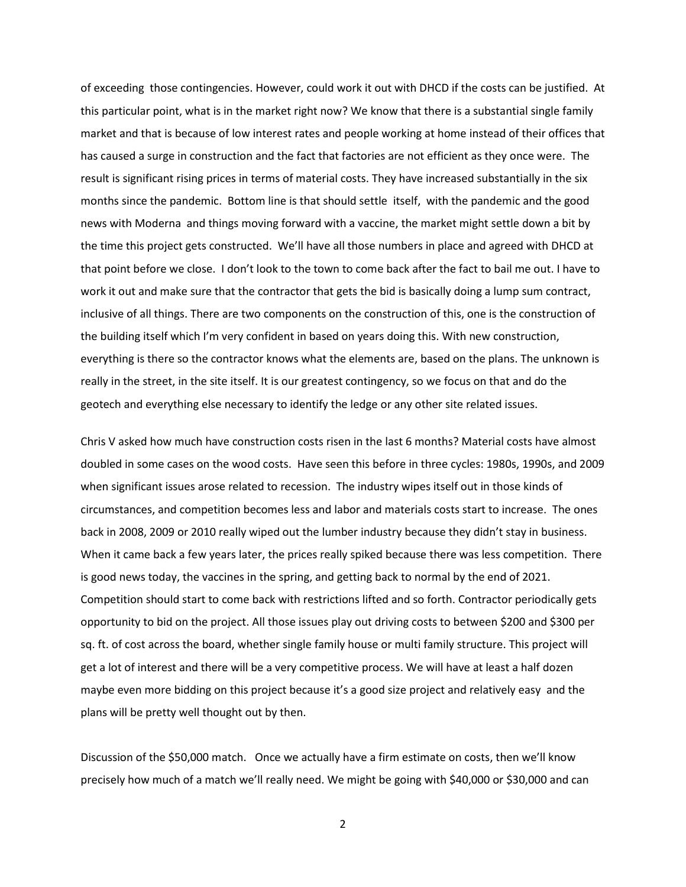of exceeding those contingencies. However, could work it out with DHCD if the costs can be justified. At this particular point, what is in the market right now? We know that there is a substantial single family market and that is because of low interest rates and people working at home instead of their offices that has caused a surge in construction and the fact that factories are not efficient as they once were. The result is significant rising prices in terms of material costs. They have increased substantially in the six months since the pandemic. Bottom line is that should settle itself, with the pandemic and the good news with Moderna and things moving forward with a vaccine, the market might settle down a bit by the time this project gets constructed. We'll have all those numbers in place and agreed with DHCD at that point before we close. I don't look to the town to come back after the fact to bail me out. I have to work it out and make sure that the contractor that gets the bid is basically doing a lump sum contract, inclusive of all things. There are two components on the construction of this, one is the construction of the building itself which I'm very confident in based on years doing this. With new construction, everything is there so the contractor knows what the elements are, based on the plans. The unknown is really in the street, in the site itself. It is our greatest contingency, so we focus on that and do the geotech and everything else necessary to identify the ledge or any other site related issues.

Chris V asked how much have construction costs risen in the last 6 months? Material costs have almost doubled in some cases on the wood costs. Have seen this before in three cycles: 1980s, 1990s, and 2009 when significant issues arose related to recession. The industry wipes itself out in those kinds of circumstances, and competition becomes less and labor and materials costs start to increase. The ones back in 2008, 2009 or 2010 really wiped out the lumber industry because they didn't stay in business. When it came back a few years later, the prices really spiked because there was less competition. There is good news today, the vaccines in the spring, and getting back to normal by the end of 2021. Competition should start to come back with restrictions lifted and so forth. Contractor periodically gets opportunity to bid on the project. All those issues play out driving costs to between \$200 and \$300 per sq. ft. of cost across the board, whether single family house or multi family structure. This project will get a lot of interest and there will be a very competitive process. We will have at least a half dozen maybe even more bidding on this project because it's a good size project and relatively easy and the plans will be pretty well thought out by then.

Discussion of the \$50,000 match. Once we actually have a firm estimate on costs, then we'll know precisely how much of a match we'll really need. We might be going with \$40,000 or \$30,000 and can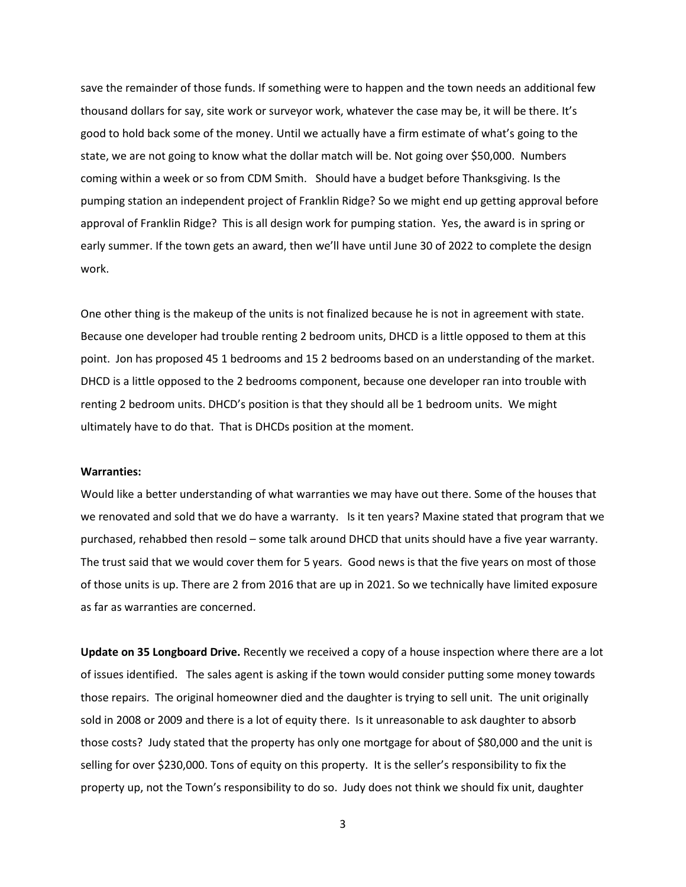save the remainder of those funds. If something were to happen and the town needs an additional few thousand dollars for say, site work or surveyor work, whatever the case may be, it will be there. It's good to hold back some of the money. Until we actually have a firm estimate of what's going to the state, we are not going to know what the dollar match will be. Not going over \$50,000. Numbers coming within a week or so from CDM Smith. Should have a budget before Thanksgiving. Is the pumping station an independent project of Franklin Ridge? So we might end up getting approval before approval of Franklin Ridge? This is all design work for pumping station. Yes, the award is in spring or early summer. If the town gets an award, then we'll have until June 30 of 2022 to complete the design work.

One other thing is the makeup of the units is not finalized because he is not in agreement with state. Because one developer had trouble renting 2 bedroom units, DHCD is a little opposed to them at this point. Jon has proposed 45 1 bedrooms and 15 2 bedrooms based on an understanding of the market. DHCD is a little opposed to the 2 bedrooms component, because one developer ran into trouble with renting 2 bedroom units. DHCD's position is that they should all be 1 bedroom units. We might ultimately have to do that. That is DHCDs position at the moment.

#### **Warranties:**

Would like a better understanding of what warranties we may have out there. Some of the houses that we renovated and sold that we do have a warranty. Is it ten years? Maxine stated that program that we purchased, rehabbed then resold – some talk around DHCD that units should have a five year warranty. The trust said that we would cover them for 5 years. Good news is that the five years on most of those of those units is up. There are 2 from 2016 that are up in 2021. So we technically have limited exposure as far as warranties are concerned.

**Update on 35 Longboard Drive.** Recently we received a copy of a house inspection where there are a lot of issues identified. The sales agent is asking if the town would consider putting some money towards those repairs. The original homeowner died and the daughter is trying to sell unit. The unit originally sold in 2008 or 2009 and there is a lot of equity there. Is it unreasonable to ask daughter to absorb those costs? Judy stated that the property has only one mortgage for about of \$80,000 and the unit is selling for over \$230,000. Tons of equity on this property. It is the seller's responsibility to fix the property up, not the Town's responsibility to do so. Judy does not think we should fix unit, daughter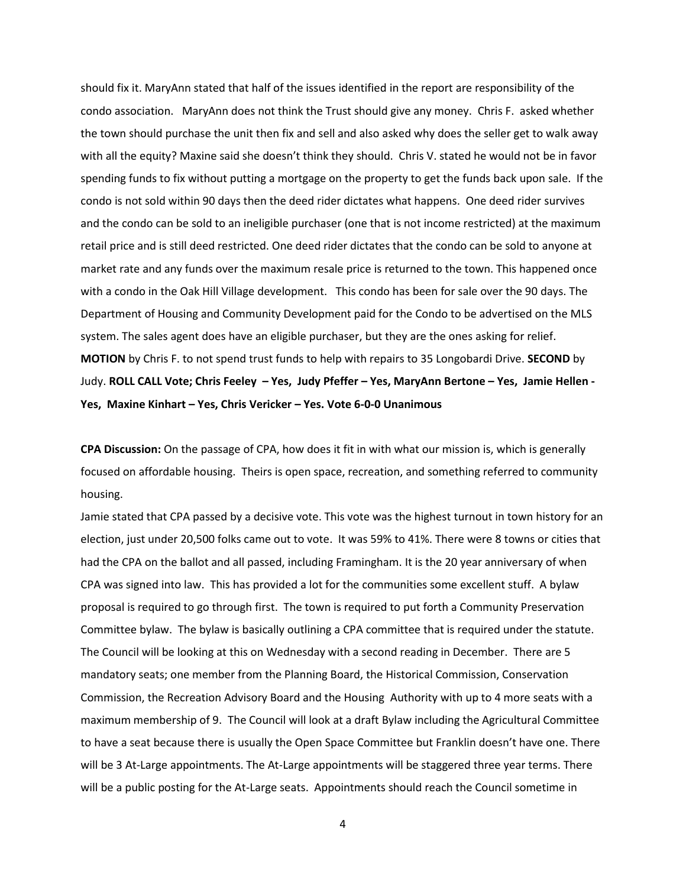should fix it. MaryAnn stated that half of the issues identified in the report are responsibility of the condo association. MaryAnn does not think the Trust should give any money. Chris F. asked whether the town should purchase the unit then fix and sell and also asked why does the seller get to walk away with all the equity? Maxine said she doesn't think they should. Chris V. stated he would not be in favor spending funds to fix without putting a mortgage on the property to get the funds back upon sale. If the condo is not sold within 90 days then the deed rider dictates what happens. One deed rider survives and the condo can be sold to an ineligible purchaser (one that is not income restricted) at the maximum retail price and is still deed restricted. One deed rider dictates that the condo can be sold to anyone at market rate and any funds over the maximum resale price is returned to the town. This happened once with a condo in the Oak Hill Village development. This condo has been for sale over the 90 days. The Department of Housing and Community Development paid for the Condo to be advertised on the MLS system. The sales agent does have an eligible purchaser, but they are the ones asking for relief. **MOTION** by Chris F. to not spend trust funds to help with repairs to 35 Longobardi Drive. **SECOND** by Judy. **ROLL CALL Vote; Chris Feeley – Yes, Judy Pfeffer – Yes, MaryAnn Bertone – Yes, Jamie Hellen - Yes, Maxine Kinhart – Yes, Chris Vericker – Yes. Vote 6-0-0 Unanimous**

**CPA Discussion:** On the passage of CPA, how does it fit in with what our mission is, which is generally focused on affordable housing. Theirs is open space, recreation, and something referred to community housing.

Jamie stated that CPA passed by a decisive vote. This vote was the highest turnout in town history for an election, just under 20,500 folks came out to vote. It was 59% to 41%. There were 8 towns or cities that had the CPA on the ballot and all passed, including Framingham. It is the 20 year anniversary of when CPA was signed into law. This has provided a lot for the communities some excellent stuff. A bylaw proposal is required to go through first. The town is required to put forth a Community Preservation Committee bylaw. The bylaw is basically outlining a CPA committee that is required under the statute. The Council will be looking at this on Wednesday with a second reading in December. There are 5 mandatory seats; one member from the Planning Board, the Historical Commission, Conservation Commission, the Recreation Advisory Board and the Housing Authority with up to 4 more seats with a maximum membership of 9. The Council will look at a draft Bylaw including the Agricultural Committee to have a seat because there is usually the Open Space Committee but Franklin doesn't have one. There will be 3 At-Large appointments. The At-Large appointments will be staggered three year terms. There will be a public posting for the At-Large seats. Appointments should reach the Council sometime in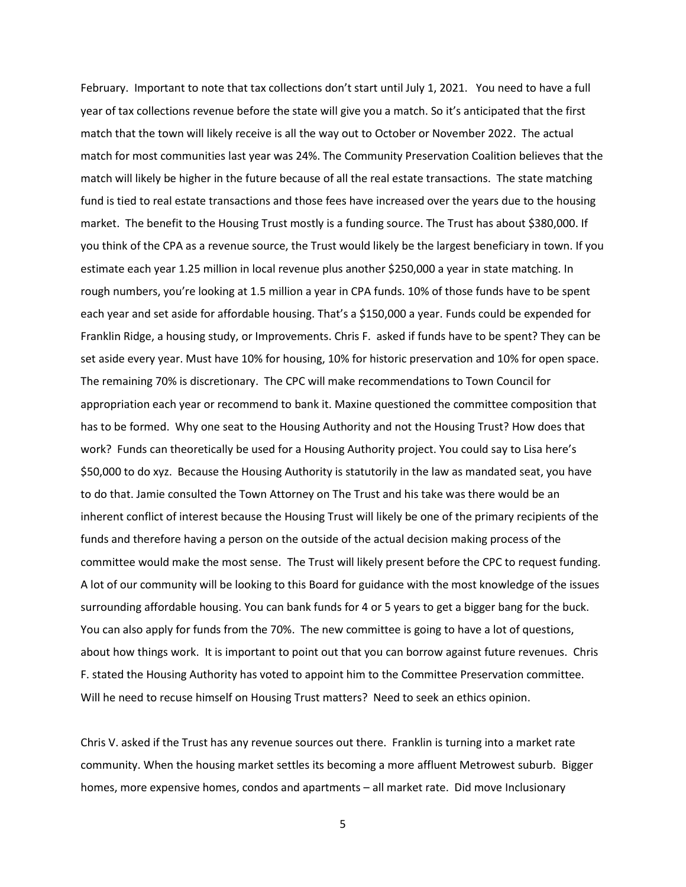February. Important to note that tax collections don't start until July 1, 2021. You need to have a full year of tax collections revenue before the state will give you a match. So it's anticipated that the first match that the town will likely receive is all the way out to October or November 2022. The actual match for most communities last year was 24%. The Community Preservation Coalition believes that the match will likely be higher in the future because of all the real estate transactions. The state matching fund is tied to real estate transactions and those fees have increased over the years due to the housing market. The benefit to the Housing Trust mostly is a funding source. The Trust has about \$380,000. If you think of the CPA as a revenue source, the Trust would likely be the largest beneficiary in town. If you estimate each year 1.25 million in local revenue plus another \$250,000 a year in state matching. In rough numbers, you're looking at 1.5 million a year in CPA funds. 10% of those funds have to be spent each year and set aside for affordable housing. That's a \$150,000 a year. Funds could be expended for Franklin Ridge, a housing study, or Improvements. Chris F. asked if funds have to be spent? They can be set aside every year. Must have 10% for housing, 10% for historic preservation and 10% for open space. The remaining 70% is discretionary. The CPC will make recommendations to Town Council for appropriation each year or recommend to bank it. Maxine questioned the committee composition that has to be formed. Why one seat to the Housing Authority and not the Housing Trust? How does that work? Funds can theoretically be used for a Housing Authority project. You could say to Lisa here's \$50,000 to do xyz. Because the Housing Authority is statutorily in the law as mandated seat, you have to do that. Jamie consulted the Town Attorney on The Trust and his take was there would be an inherent conflict of interest because the Housing Trust will likely be one of the primary recipients of the funds and therefore having a person on the outside of the actual decision making process of the committee would make the most sense. The Trust will likely present before the CPC to request funding. A lot of our community will be looking to this Board for guidance with the most knowledge of the issues surrounding affordable housing. You can bank funds for 4 or 5 years to get a bigger bang for the buck. You can also apply for funds from the 70%. The new committee is going to have a lot of questions, about how things work. It is important to point out that you can borrow against future revenues. Chris F. stated the Housing Authority has voted to appoint him to the Committee Preservation committee. Will he need to recuse himself on Housing Trust matters? Need to seek an ethics opinion.

Chris V. asked if the Trust has any revenue sources out there. Franklin is turning into a market rate community. When the housing market settles its becoming a more affluent Metrowest suburb. Bigger homes, more expensive homes, condos and apartments – all market rate. Did move Inclusionary